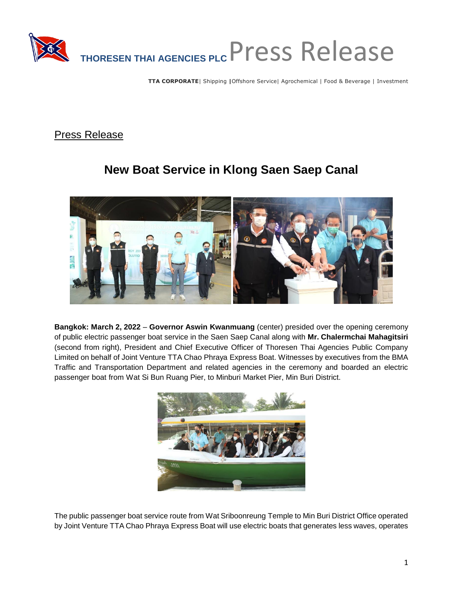

**TTA CORPORATE**| Shipping **|**Offshore Service| Agrochemical | Food & Beverage | Investment

Press Release

## **New Boat Service in Klong Saen Saep Canal**



**Bangkok: March 2, 2022** – **Governor Aswin Kwanmuang** (center) presided over the opening ceremony of public electric passenger boat service in the Saen Saep Canal along with **Mr. Chalermchai Mahagitsiri** (second from right), President and Chief Executive Officer of Thoresen Thai Agencies Public Company Limited on behalf of Joint Venture TTA Chao Phraya Express Boat. Witnesses by executives from the BMA Traffic and Transportation Department and related agencies in the ceremony and boarded an electric passenger boat from Wat Si Bun Ruang Pier, to Minburi Market Pier, Min Buri District.



The public passenger boat service route from Wat Sriboonreung Temple to Min Buri District Office operated by Joint Venture TTA Chao Phraya Express Boat will use electric boats that generates less waves, operates